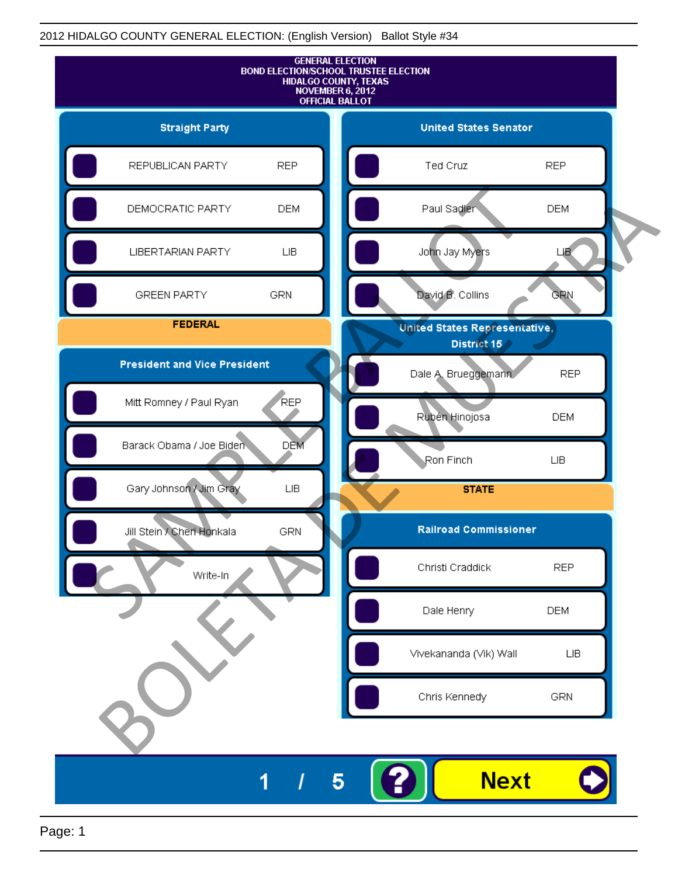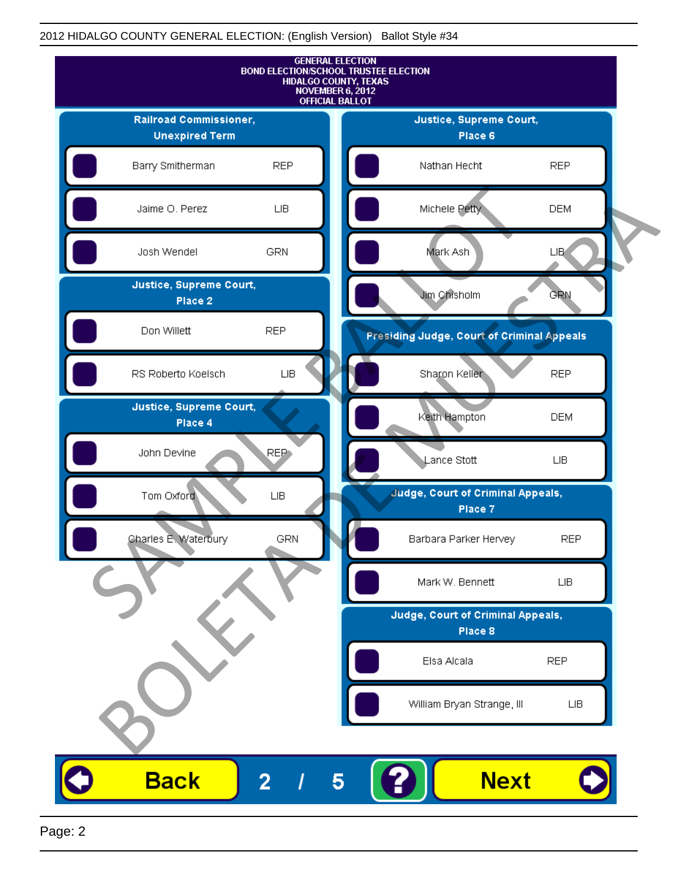

Page: 2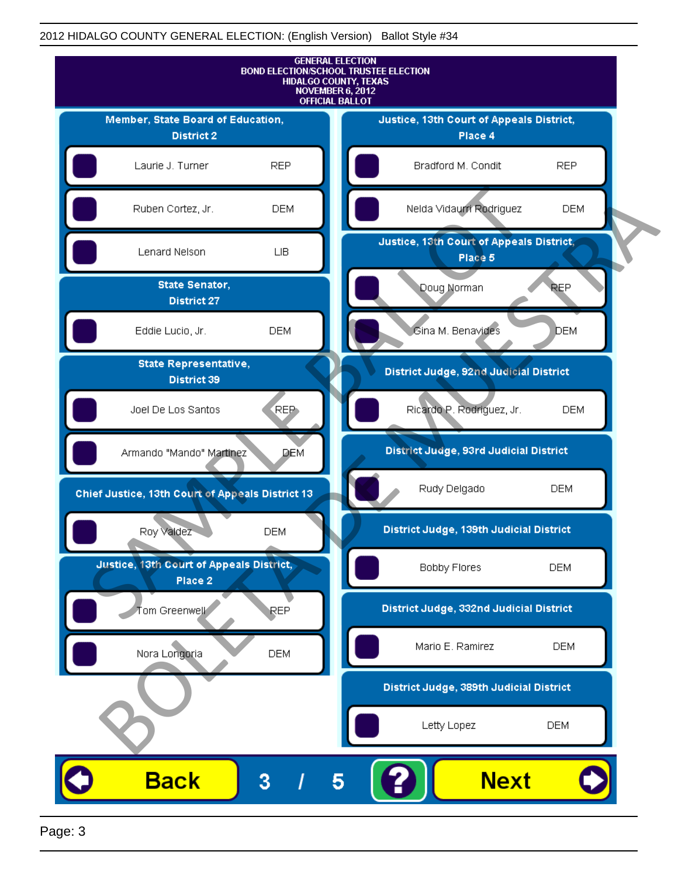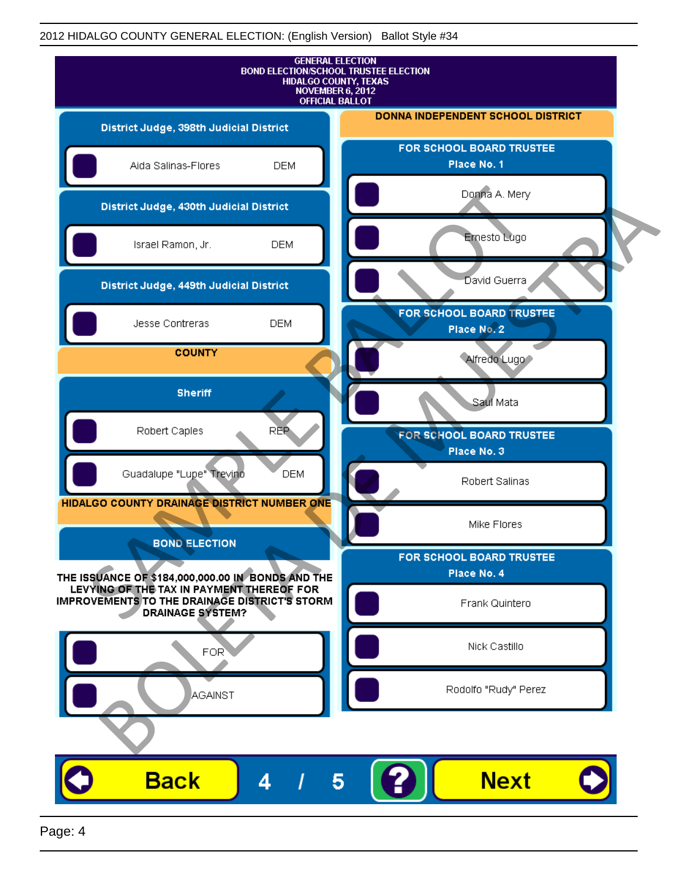

Page: 4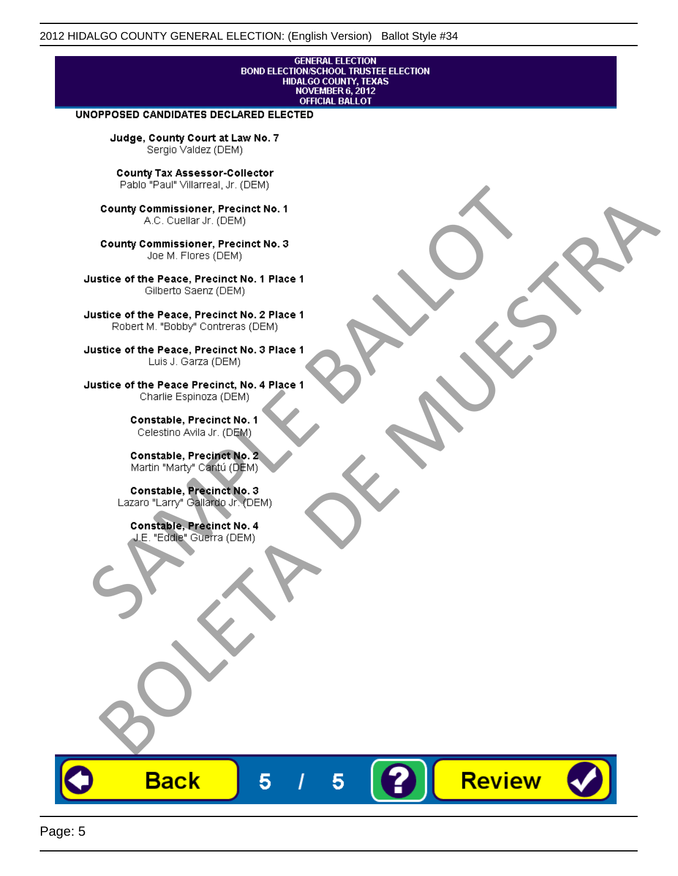# **GENERAL ELECTION** BOND ELECTION/SCHOOL TRUSTEE ELECTION<br>HIDALGO COUNTY, TEXAS<br>NOVEMBER 6, 2012<br>OFFICIAL BALLOT

Review

#### UNOPPOSED CANDIDATES DECLARED ELECTED

Judge, County Court at Law No. 7 Sergio Valdez (DEM)

County Tax Assessor-Collector

Fall Paul Visitera, Precinct No. 1<br>
County Commissioner, Precinct No. 1<br>
SAC. Cutellar JF: (DEM)<br>
County Commissioner, Precinct No. 2<br>
Ulattice of the Peace, Precinct No. 2 Place 1<br>
Counter M. "Bobby" Contrers (DEM)<br>
Ulatt County Commissioner, Precinct No. 1<br>
Accounts: A County Commissioner, Precinct No. 3<br>
Use of the Peace, Precinct No. 1<br>
Siste of the Peace, Precinct No. 1<br>
There is a control of the County Commission (DEM)<br>
There is a cont

**Back** 

5

5

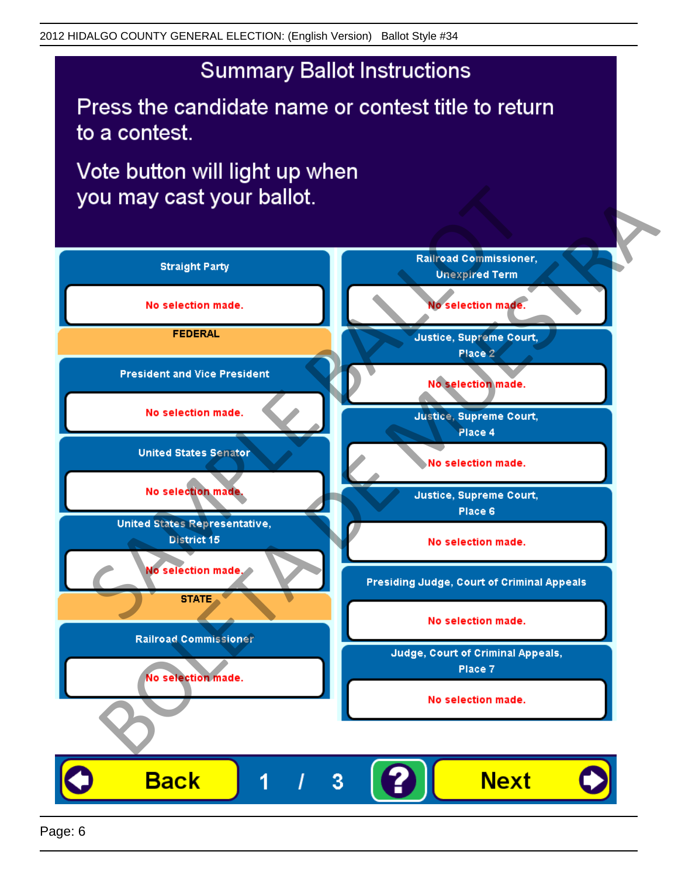## **Summary Ballot Instructions**

Press the candidate name or contest title to return to a contest.

Vote button will light up when

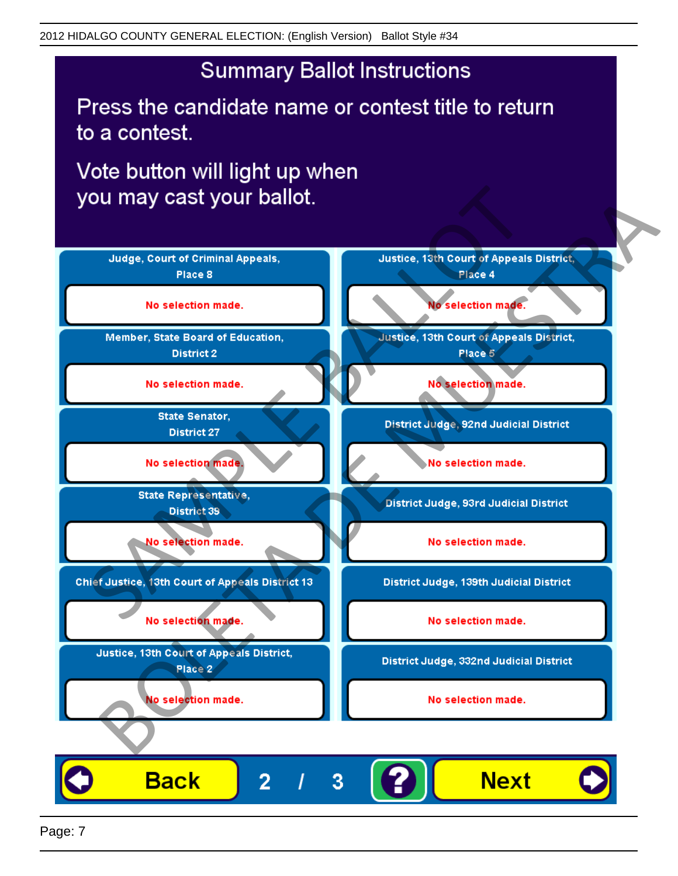## **Summary Ballot Instructions**

Press the candidate name or contest title to return to a contest.

Vote button will light up when